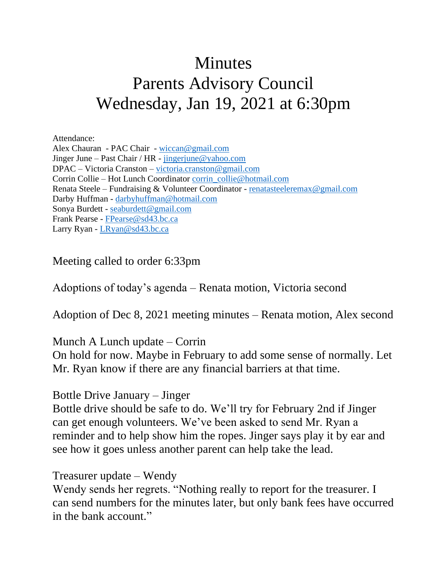# **Minutes** Parents Advisory Council Wednesday, Jan 19, 2021 at 6:30pm

Attendance:

Alex Chauran - PAC Chair - [wiccan@gmail.com](mailto:wiccan@gmail.com) Jinger June – Past Chair / HR - [jingerjune@yahoo.com](mailto:jingerjune@yahoo.com) DPAC – Victoria Cranston – [victoria.cranston@gmail.com](mailto:victoria.cranston@gmail.com) Corrin Collie – Hot Lunch Coordinator [corrin\\_collie@hotmail.com](mailto:corrin_collie@hotmail.com) Renata Steele – Fundraising & Volunteer Coordinator - [renatasteeleremax@gmail.com](mailto:renatasteeleremax@gmail.com) Darby Huffman - [darbyhuffman@hotmail.com](mailto:darbyhuffman@hotmail.com) Sonya Burdett - [seaburdett@gmail.com](mailto:seaburdett@gmail.com) Frank Pearse - [FPearse@sd43.bc.ca](mailto:FPearse@sd43.bc.ca) Larry Ryan - [LRyan@sd43.bc.ca](mailto:LRyan@sd43.bc.ca)

Meeting called to order 6:33pm

Adoptions of today's agenda – Renata motion, Victoria second

Adoption of Dec 8, 2021 meeting minutes – Renata motion, Alex second

Munch A Lunch update – Corrin

On hold for now. Maybe in February to add some sense of normally. Let Mr. Ryan know if there are any financial barriers at that time.

#### Bottle Drive January – Jinger

Bottle drive should be safe to do. We'll try for February 2nd if Jinger can get enough volunteers. We've been asked to send Mr. Ryan a reminder and to help show him the ropes. Jinger says play it by ear and see how it goes unless another parent can help take the lead.

#### Treasurer update – Wendy

Wendy sends her regrets. "Nothing really to report for the treasurer. I can send numbers for the minutes later, but only bank fees have occurred in the bank account."